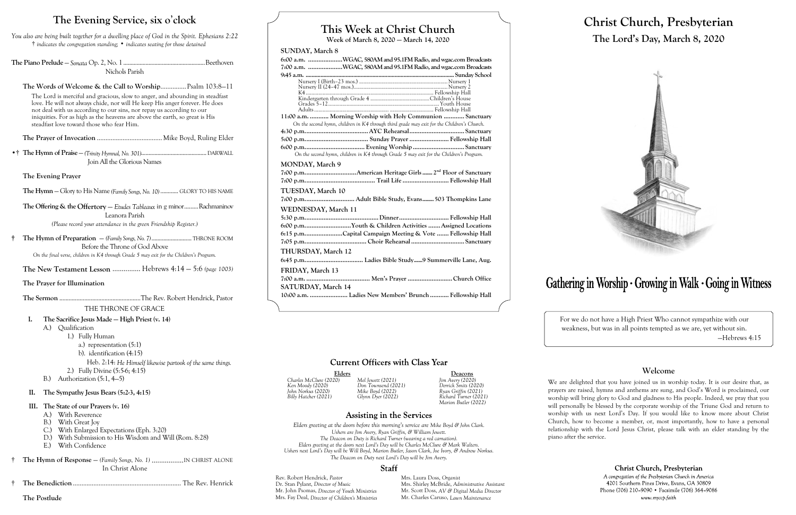# **This Week at Christ Church**

**Week of March 8, 2020 — March 14, 2020**

### **SUNDAY, March 8**

**6:00 a.m. ....................WGAC, 580AM and 95.1FM Radio, and wgac.com Broadcasts 7:00 a.m. ....................WGAC, 580AM and 95.1FM Radio, and wgac.com Broadcasts 9:45 a.m. .................................................................................................... Sunday School** Nursery I (Birth–23 mos.) ...............................................................Nursery 1 Nursery II (24–47 mos.)...................................................................Nursery 2 ...... Fellowship Hall<br>..Children's House Kindergarten through Grade 4 ..........................................Children's House Grades 5–12...<br>Adults ... Fellowship Hall **11:00 a.m. ........... Morning Worship with Holy Communion ............ Sanctuary** *On the second hymn, children in K4 through third grade may exit for the Children's Church.* **4:30 p.m.....................................AYC Rehearsal................................ Sanctuary 5:00 p.m..................................... Sunday Prayer....................... Fellowship Hall 6:00 p.m................................... Evening Worship.............................. Sanctuary** *On the second hymn, children in K4 through Grade 5 may exit for the Children's Program.* **MONDAY, March 9 7:00 p.m..............................American Heritage Girls....... 2 nd Floor of Sanctuary 7:00 p.m......................................... Trail Life ........................... Fellowship Hall TUESDAY, March 10 7:00 p.m............................. Adult Bible Study, Evans........503 Thompkins Lane WEDNESDAY, March 11 5:30 p.m...........................................Dinner............................. Fellowship Hall 6:00 p.m...........................Youth & Children Activities .......Assigned Locations 6:15 p.m......................Capital Campaign Meeting & Vote ....... Fellowship Hall 7:05 p.m.................................... Choir Rehearsal............................... Sanctuary THURSDAY, March 12 6:45 p.m.................................. Ladies Bible Study......9 Summerville Lane, Aug. FRIDAY, March 13 7:00 a.m. ..................................... Men's Prayer ..........................Church Office SATURDAY, March 14 10:00 a.m. ...................... Ladies New Members' Brunch ........... Fellowship Hall**

# **Current Officers with Class Year**

Elders **Deacons**<br>
20) Mel Jewett (2021) Jim Avery (2020) *Charles McClure (2020) Mel Jewett (2021) Jim Avery (2020) Billy Hatcher (2021) Glynn Dyer (2022) Richard Turner (2021) Marion Butler (2022)*

# **Assisting in the Services**

Rev. Robert Hendrick, *Pastor* Mrs. Laura Doss, *Organist*<br>
Dr. Stan Pylant. *Director of Music* Mrs. Shirley McBride. *Adm* Dr. Stan Pylant, *Director of Music* Mrs. Shirley McBride, *Administrative Assistant* Mrs. Fay Deal, *Director of Children's Ministries* Mr. Charles Caruso, *Lawn Maintenance*

Mr. Scott Doss, *AV & Digital Media Director* 

# Gathering in Worship · Growing in Walk · Going in Witness

The Words of Welcome & the Call to Worship................ Psalm 103:8-11 The Lord is merciful and gracious, slow to anger, and abounding in steadfast love. He will not always chide, nor will He keep His anger forever. He does not deal with us according to our sins, nor repay us according to our iniquities. For as high as the heavens are above the earth, so great is His steadfast love toward those who fear Him.

> *Ken Moody (2020) Don Townsend (2021) Derrick Smits (2020) John Norkus (2020) Mike Boyd (2022) Ryan Griffin (2021)*

**The Offering & the Offertory** — *Etudes Tableaux* in g minor......... Rachmaninov Leanora Parish *(Please record your attendance in the green Friendship Register.)*

> *Elders greeting at the doors before this morning's service are Mike Boyd & John Clark. Ushers are Jim Avery, Ryan Griffin, & William Jewett. The Deacon on Duty is Richard Turner (wearing a red carnation). Elders greeting at the doors next Lord's Day will be Charles McClure & Mark Walters. Ushers next Lord's Day will be Will Boyd, Marion Butler, Jason Clark, Joe Ivory, & Andrew Norkus. The Deacon on Duty next Lord's Day will be Jim Avery.*

# **Staff**

# **Christ Church, Presbyterian The Lord's Day, March 8, 2020**



For we do not have a High Priest Who cannot sympathize with our weakness, but was in all points tempted as we are, yet without sin. —Hebrews 4:15

### **Welcome**

We are delighted that you have joined us in worship today. It is our desire that, as prayers are raised, hymns and anthems are sung, and God's Word is proclaimed, our worship will bring glory to God and gladness to His people. Indeed, we pray that you will personally be blessed by the corporate worship of the Triune God and return to worship with us next Lord's Day. If you would like to know more about Christ Church, how to become a member, or, most importantly, how to have a personal relationship with the Lord Jesus Christ, please talk with an elder standing by the piano after the service.

Christ Church, Presbyterian

A congregation of the Presbyterian Church in America 4201 Southern Pines Drive, Evans, GA 30809 Phone (706) 210-9090 • Facsimile (706) 364-9086 www.myccp.faith

# **The Evening Service, six o**'**clock**

*You also are being built together for a dwelling place of God in the Spirit. Ephesians 2:22* † *indicates the congregation standing;* • *indicates seating for those detained*

**The Piano Prelude** — *Sonata* Op. 2, No. 1.......................................................Beethoven Nichols Parish

**The Prayer of Invocation** ......................................Mike Boyd, Ruling Elder

•† **The Hymn of Praise** — *(Trinity Hymnal, No. 301)*............................................DARWALL Join All the Glorious Names

**The Evening Prayer**

**The Hymn** — Glory to His Name *(Family Songs, No. 10)* ............ GLORY TO HIS NAME

**† The Hymn of Preparation** — *(Family Songs, No. 7)*........................... THRONE ROOM Before the Throne of God Above *On the final verse, children in K4 through Grade 5 may exit for the Children's Program.*

**The New Testament Lesson** ............... Hebrews 4:14 — 5:6 *(page 1003)*

**The Prayer for Illumination**

**The Sermon** ....................................................The Rev. Robert Hendrick, Pastor THE THRONE OF GRACE

### **I. The Sacrifice Jesus Made — High Priest (v. 14)**

A.) Qualification

- 1.) Fully Human
	- a.) representation (5:1)
	- b). identification (4:15)

Heb. 2:14: *He Himself likewise partook of the same things.*

- 2.) Fully Divine (5:5-6; 4:15)
- B.) Authorization (5:1, 4—5)

**II. The Sympathy Jesus Bears (5:2-3, 4:15)**

- **III. The State of our Prayers (v. 16)**
	- A.) With Reverence
	- B.) With Great Joy
	- C.) With Enlarged Expectations (Eph. 3:20)
	- D.) With Submission to His Wisdom and Will (Rom. 8:28)
	- E.) With Confidence
- † **The Hymn of Response**  *(Family Songs, No. 1)* .................IN CHRIST ALONE In Christ Alone
- † **The Benediction**............................................................... The Rev. Henrick

**The Postlude**